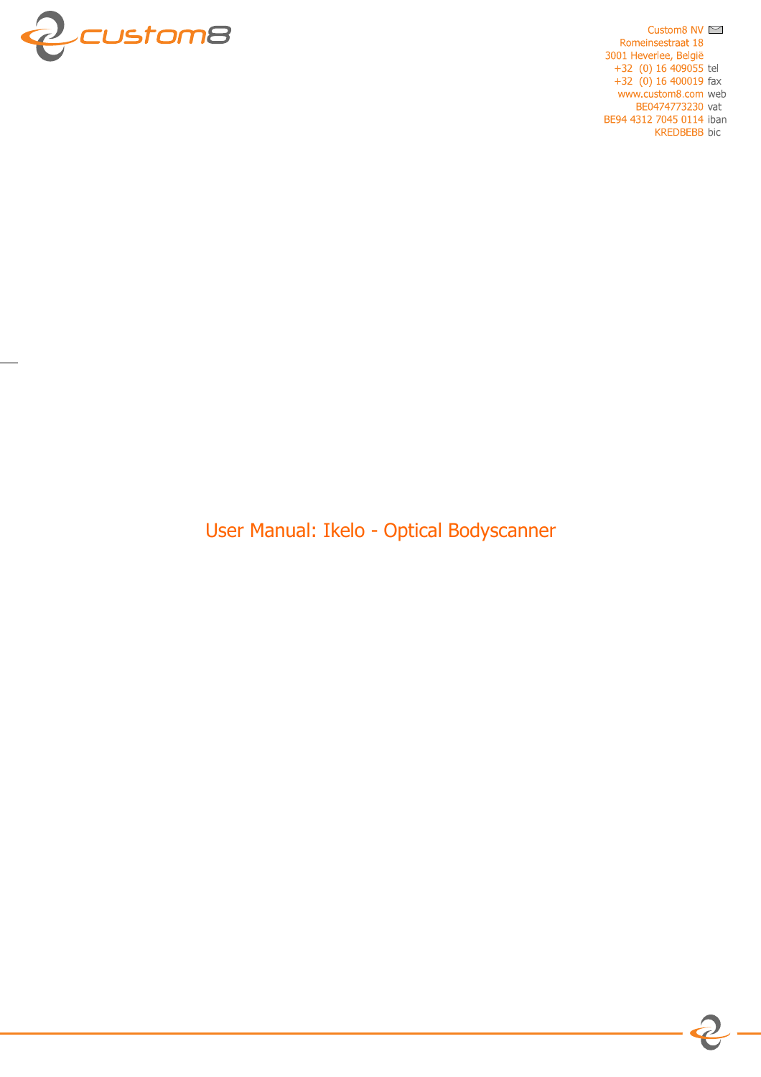

Custom8 NV  $\approx$ Romeinsestraat 18 3001 Heverlee, België  $+32$  (0) 16 409055 tel  $+32$  (0) 16 400019 fax www.custom8.com web BE0474773230 vat BE94 4312 7045 0114 iban **KREDBEBB** bic

User Manual: Ikelo - Optical Bodyscanner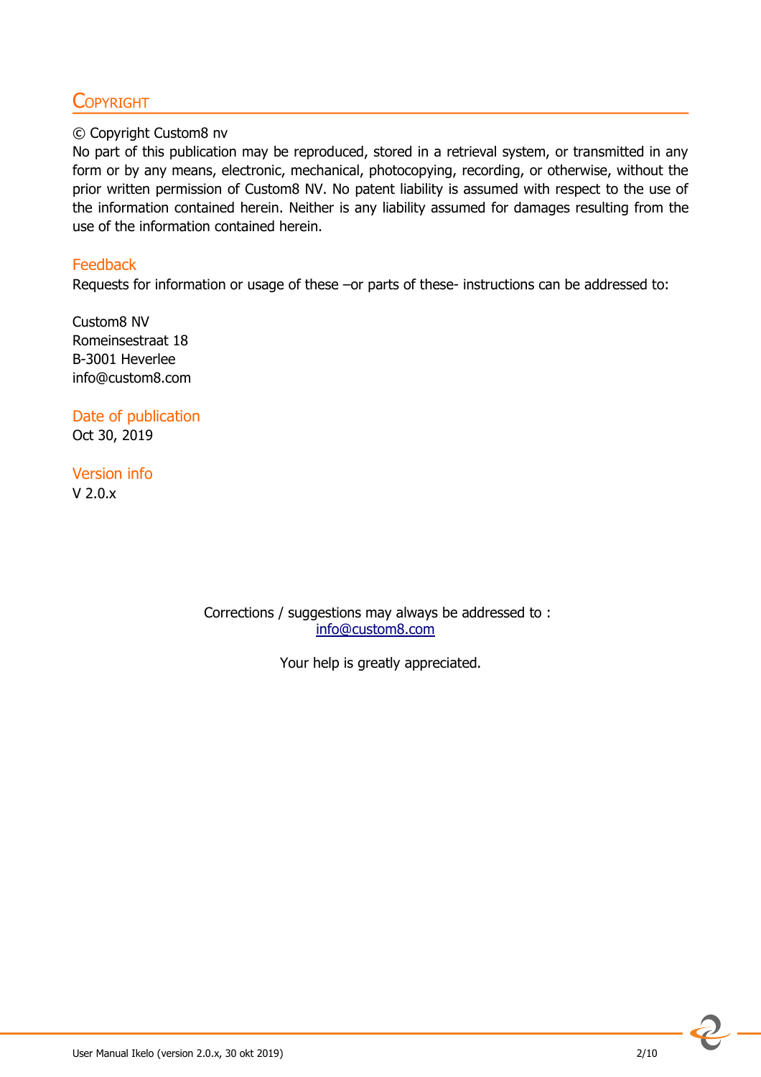## **COPYRIGHT**

#### © Copyright Custom8 nv

No part of this publication may be reproduced, stored in a retrieval system, or transmitted in any form or by any means, electronic, mechanical, photocopying, recording, or otherwise, without the prior written permission of Custom8 NV. No patent liability is assumed with respect to the use of the information contained herein. Neither is any liability assumed for damages resulting from the use of the information contained herein.

#### **Feedback**

Requests for information or usage of these –or parts of these- instructions can be addressed to:

Custom8 NV Romeinsestraat 18 B-3001 Heverlee info@custom8.com

Date of publication Oct 30, 2019

Version info V 2.0.x

> Corrections / suggestions may always be addressed to : info@custom8.com

> > Your help is greatly appreciated.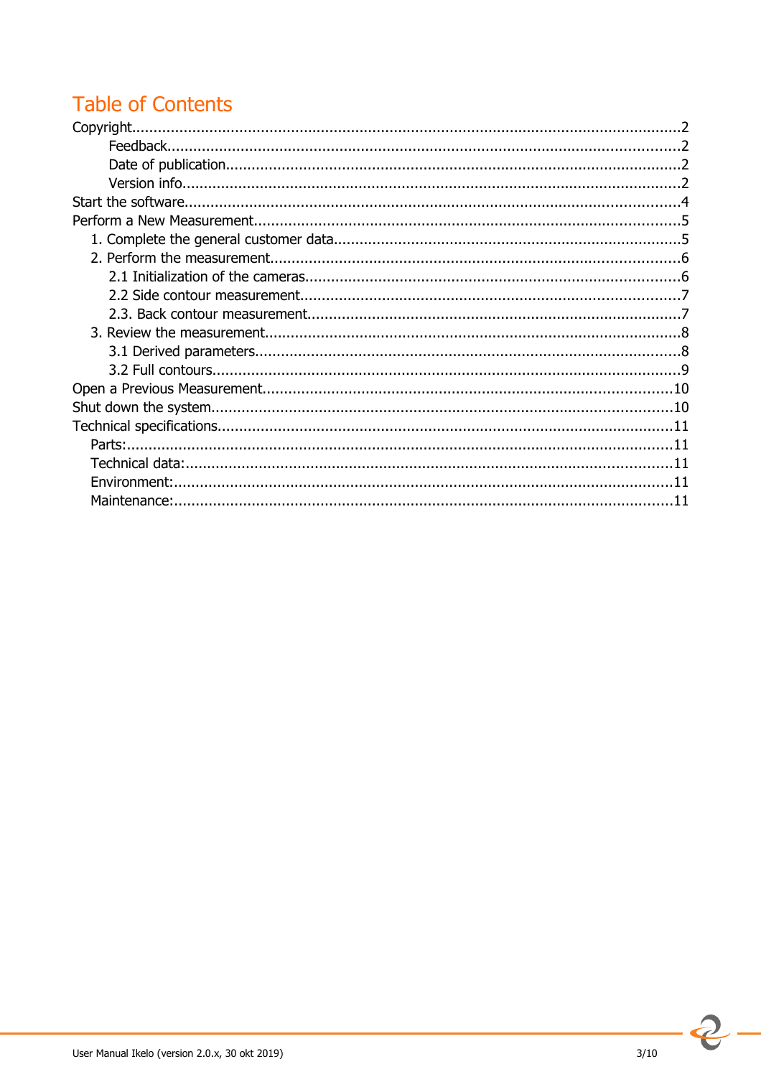# **Table of Contents**

 $\overline{2}$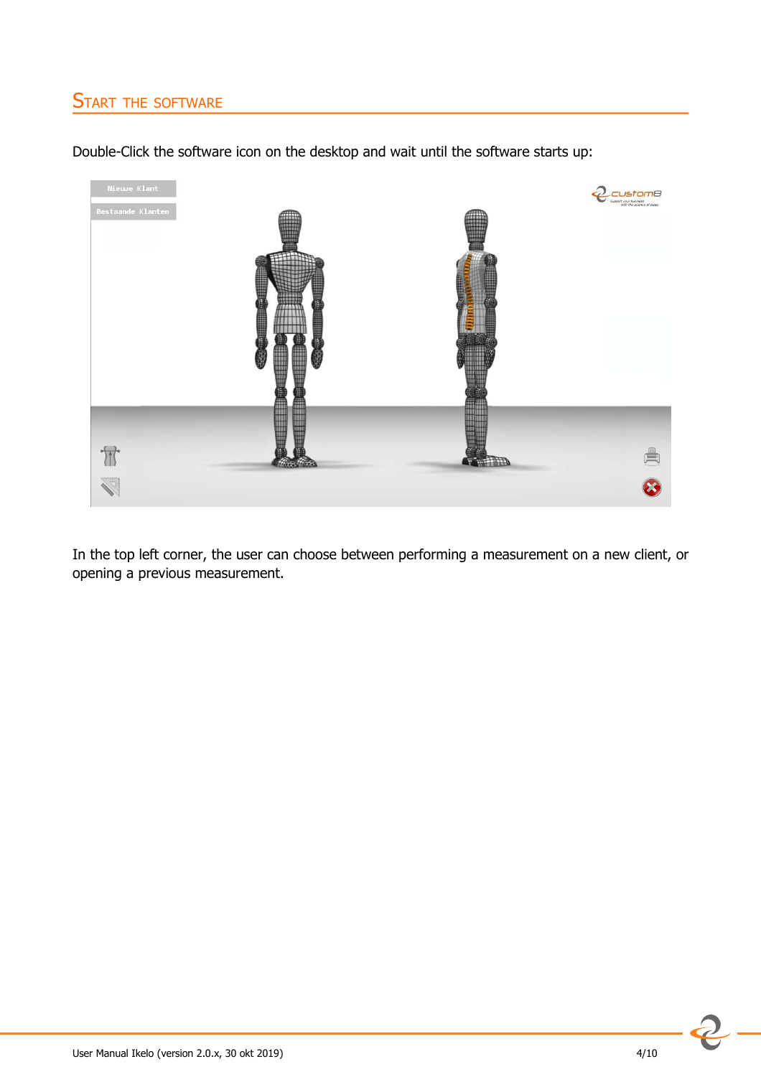# START THE SOFTWARE

Double-Click the software icon on the desktop and wait until the software starts up:



In the top left corner, the user can choose between performing a measurement on a new client, or opening a previous measurement.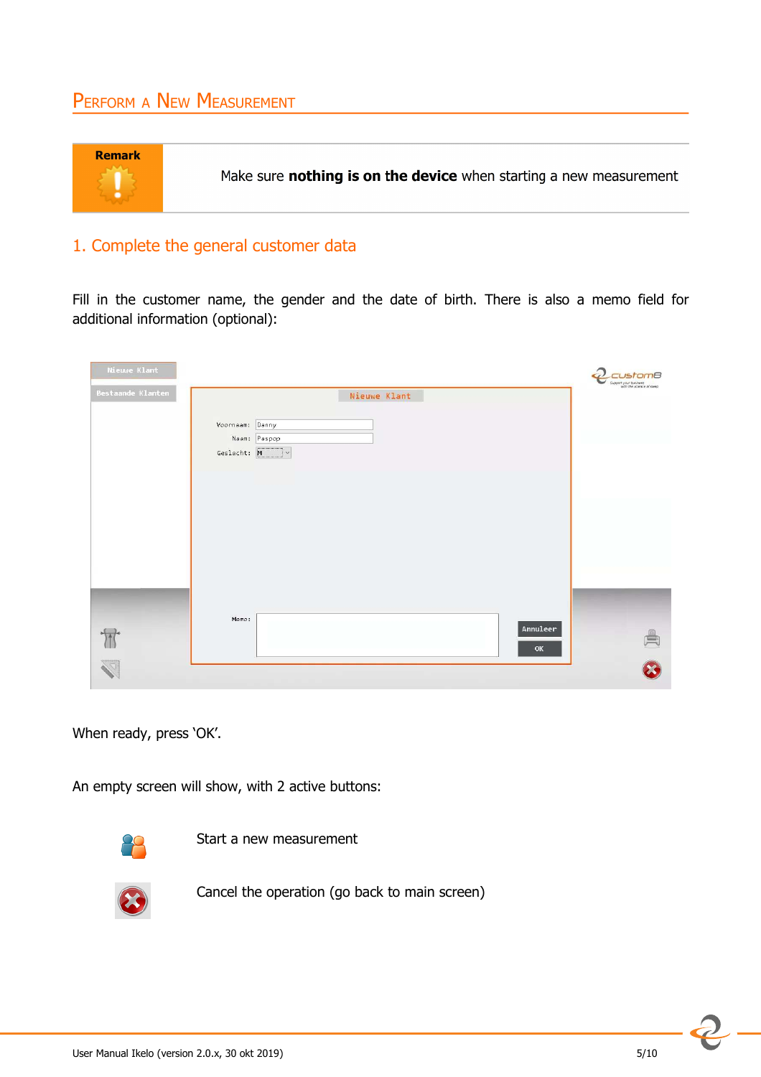# PERFORM A NEW MEASUREMENT



#### 1. Complete the general customer data

Fill in the customer name, the gender and the date of birth. There is also a memo field for additional information (optional):

| Nieuwe Klant      |                                                         | mВ<br>Support your business<br>with the science of sleep |
|-------------------|---------------------------------------------------------|----------------------------------------------------------|
| Bestaande Klanten | Nieuwe Klant                                            |                                                          |
|                   | Voornaam: Danny<br>Naam: Paspop<br>Geslacht: $M$ $\vee$ |                                                          |
|                   |                                                         |                                                          |
|                   |                                                         |                                                          |
|                   |                                                         |                                                          |
|                   |                                                         |                                                          |
|                   | Memo:<br>Annuleer<br>OK                                 | 目                                                        |
|                   |                                                         |                                                          |

When ready, press 'OK'.

An empty screen will show, with 2 active buttons:



Start a new measurement



Cancel the operation (go back to main screen)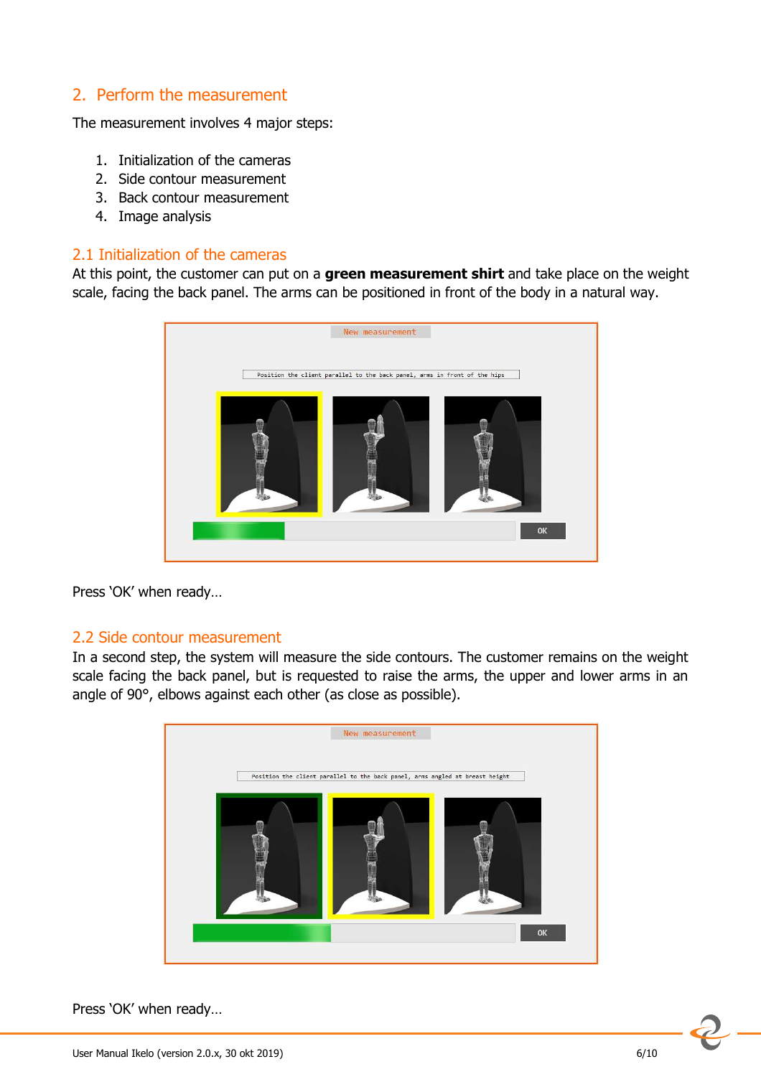### 2. Perform the measurement

The measurement involves 4 major steps:

- 1. Initialization of the cameras
- 2. Side contour measurement
- 3. Back contour measurement
- 4. Image analysis

#### 2.1 Initialization of the cameras

At this point, the customer can put on a **green measurement shirt** and take place on the weight scale, facing the back panel. The arms can be positioned in front of the body in a natural way.



Press 'OK' when ready…

#### 2.2 Side contour measurement

In a second step, the system will measure the side contours. The customer remains on the weight scale facing the back panel, but is requested to raise the arms, the upper and lower arms in an angle of 90°, elbows against each other (as close as possible).



Press 'OK' when ready…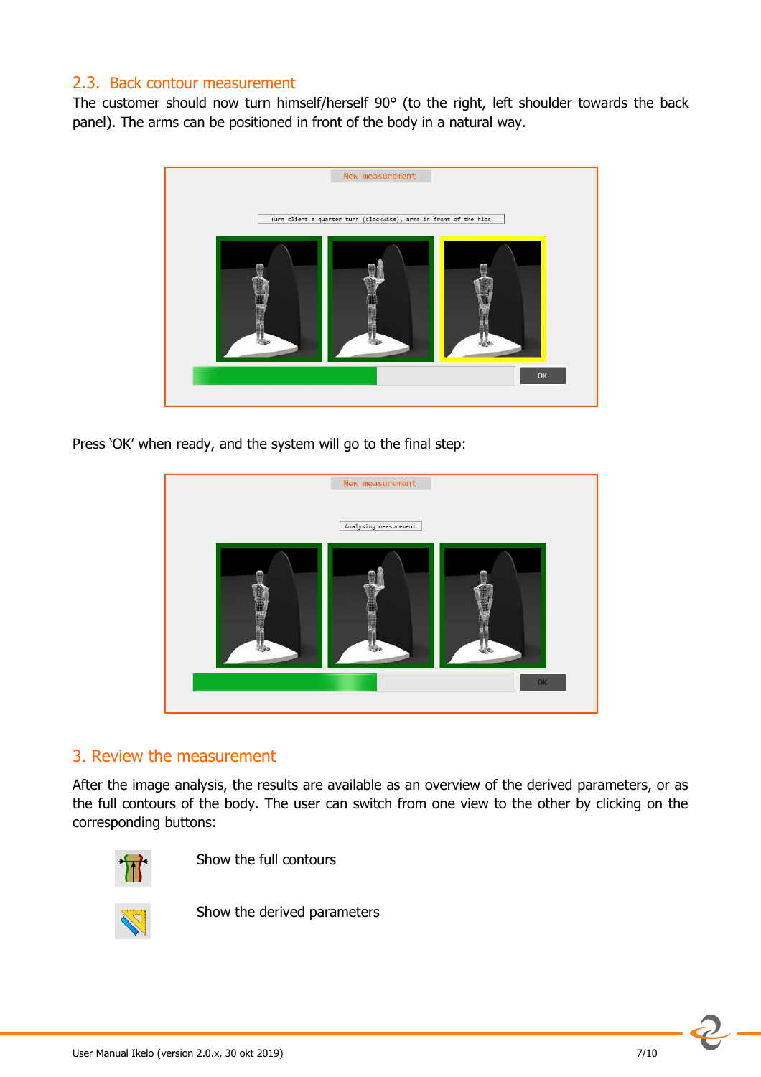#### 2.3. Back contour measurement

The customer should now turn himself/herself 90° (to the right, left shoulder towards the back panel). The arms can be positioned in front of the body in a natural way.



Press 'OK' when ready, and the system will go to the final step:



#### 3. Review the measurement

After the image analysis, the results are available as an overview of the derived parameters, or as the full contours of the body. The user can switch from one view to the other by clicking on the corresponding buttons:



Show the full contours



Show the derived parameters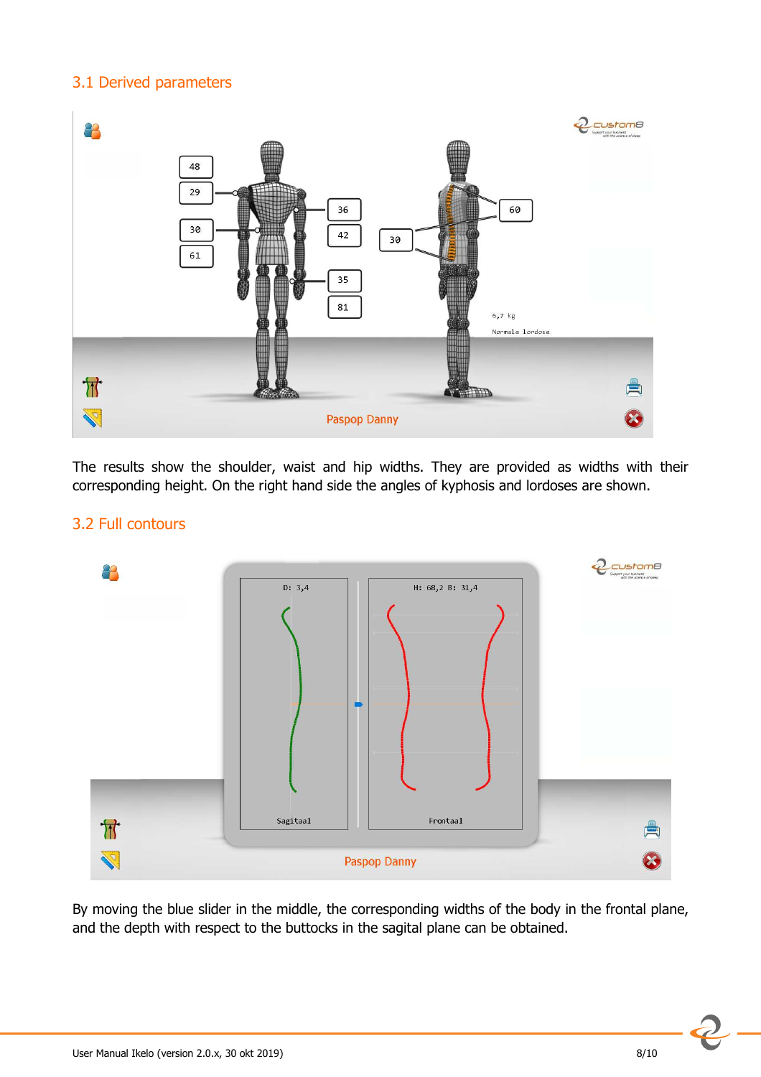#### 3.1 Derived parameters



The results show the shoulder, waist and hip widths. They are provided as widths with their corresponding height. On the right hand side the angles of kyphosis and lordoses are shown.

#### 3.2 Full contours



By moving the blue slider in the middle, the corresponding widths of the body in the frontal plane, and the depth with respect to the buttocks in the sagital plane can be obtained.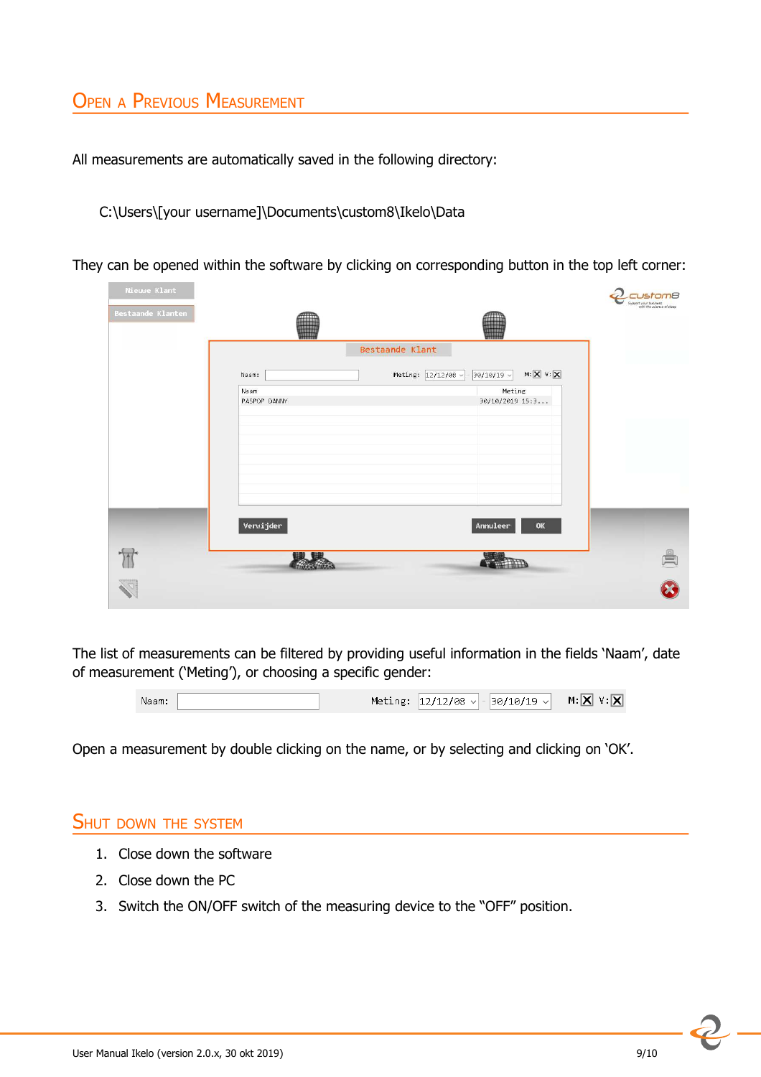# OPEN <sup>A</sup> PREVIOUS MEASUREMENT

All measurements are automatically saved in the following directory:

C:\Users\[your username]\Documents\custom8\Ikelo\Data

They can be opened within the software by clicking on corresponding button in the top left corner:

| Nieuwe Klant      |              |                                                                                                                 | <i>istom8</i><br>Support your business<br>with the science of sleep |
|-------------------|--------------|-----------------------------------------------------------------------------------------------------------------|---------------------------------------------------------------------|
| Bestaande Klanten |              |                                                                                                                 |                                                                     |
|                   |              | Bestaande Klant                                                                                                 |                                                                     |
|                   | Naam:        | $\text{M}: \boxed{\text{X}} \ \ \text{V}: \boxed{\text{X}}$<br>Meting: $12/12/08$ $\times$<br>$30/10/19$ $\vee$ |                                                                     |
|                   | Naam         | Meting                                                                                                          |                                                                     |
|                   | PASPOP DANNY | 30/10/2019 15:3                                                                                                 |                                                                     |
|                   |              |                                                                                                                 |                                                                     |
|                   |              |                                                                                                                 |                                                                     |
|                   |              |                                                                                                                 |                                                                     |
|                   |              |                                                                                                                 |                                                                     |
|                   |              |                                                                                                                 |                                                                     |
|                   |              |                                                                                                                 |                                                                     |
|                   | Verwijder    | Annuleer<br>OK                                                                                                  |                                                                     |
|                   |              |                                                                                                                 |                                                                     |
| $\mathbb{I}$      |              |                                                                                                                 |                                                                     |
|                   |              |                                                                                                                 |                                                                     |
|                   |              |                                                                                                                 |                                                                     |

The list of measurements can be filtered by providing useful information in the fields 'Naam', date of measurement ('Meting'), or choosing a specific gender:



Open a measurement by double clicking on the name, or by selecting and clicking on 'OK'.

#### SHUT DOWN THE SYSTEM

- 1. Close down the software
- 2. Close down the PC
- 3. Switch the ON/OFF switch of the measuring device to the "OFF" position.